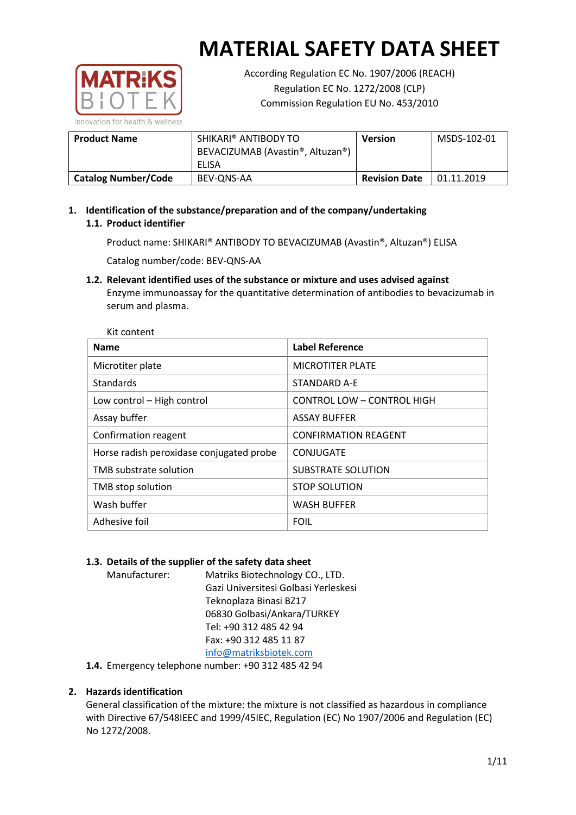

According Regulation EC No. 1907/2006 (REACH) Regulation EC No. 1272/2008 (CLP) Commission Regulation EU No. 453/2010

| <b>Product Name</b>        | SHIKARI® ANTIBODY TO<br>BEVACIZUMAB (Avastin®, Altuzan®)<br>ELISA | <b>Version</b>       | MSDS-102-01 |
|----------------------------|-------------------------------------------------------------------|----------------------|-------------|
| <b>Catalog Number/Code</b> | BEV-ONS-AA                                                        | <b>Revision Date</b> | 01.11.2019  |

**1. Identification of the substance/preparation and of the company/undertaking 1.1. Product identifier**

Product name: SHIKARI® ANTIBODY TO BEVACIZUMAB (Avastin®, Altuzan®) ELISA

Catalog number/code: BEV-QNS-AA

**1.2. Relevant identified uses of the substance or mixture and uses advised against** Enzyme immunoassay for the quantitative determination of antibodies to bevacizumab in serum and plasma.

| <b>Name</b>                              | <b>Label Reference</b>            |
|------------------------------------------|-----------------------------------|
| Microtiter plate                         | <b>MICROTITER PLATE</b>           |
| <b>Standards</b>                         | STANDARD A-E                      |
| Low control - High control               | <b>CONTROL LOW - CONTROL HIGH</b> |
| Assay buffer                             | <b>ASSAY BUFFER</b>               |
| Confirmation reagent                     | <b>CONFIRMATION REAGENT</b>       |
| Horse radish peroxidase conjugated probe | CONJUGATE                         |
| TMB substrate solution                   | <b>SUBSTRATE SOLUTION</b>         |
| TMB stop solution                        | <b>STOP SOLUTION</b>              |
| Wash buffer                              | <b>WASH BUFFER</b>                |
| Adhesive foil                            | <b>FOIL</b>                       |

## **1.3. Details of the supplier of the safety data sheet**

Manufacturer: Matriks Biotechnology CO., LTD. Gazi Universitesi Golbasi Yerleskesi Teknoplaza Binasi BZ17 06830 Golbasi/Ankara/TURKEY Tel: +90 312 485 42 94 Fax: +90 312 485 11 87 [info@matriksbiotek.com](mailto:info@matriksbiotek.com)

**1.4.** Emergency telephone number: +90 312 485 42 94

## **2. Hazards identification**

General classification of the mixture: the mixture is not classified as hazardous in compliance with Directive 67/548IEEC and 1999/45IEC, Regulation (EC) No 1907/2006 and Regulation (EC) No 1272/2008.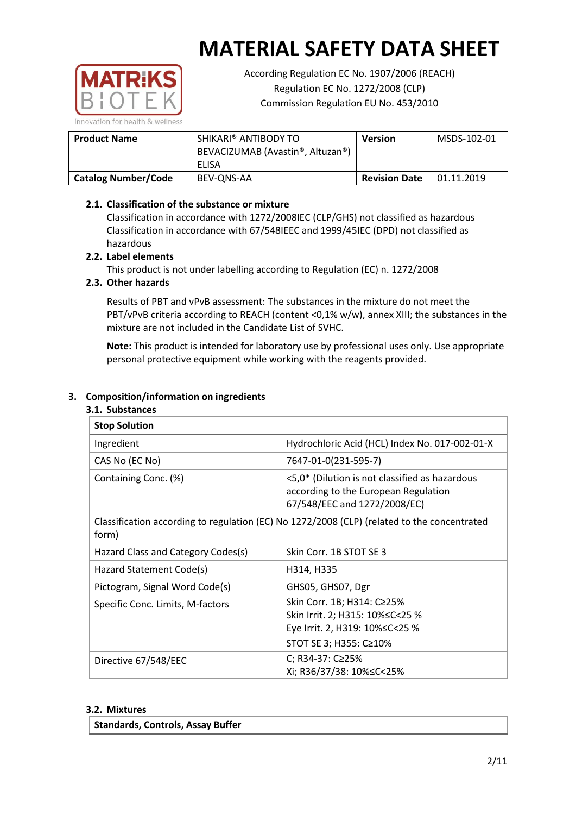

According Regulation EC No. 1907/2006 (REACH) Regulation EC No. 1272/2008 (CLP) Commission Regulation EU No. 453/2010

| <b>Product Name</b>        | SHIKARI® ANTIBODY TO<br>BEVACIZUMAB (Avastin®, Altuzan®)<br>ELISA | <b>Version</b>       | MSDS-102-01 |
|----------------------------|-------------------------------------------------------------------|----------------------|-------------|
| <b>Catalog Number/Code</b> | BEV-ONS-AA                                                        | <b>Revision Date</b> | 01.11.2019  |

## **2.1. Classification of the substance or mixture**

Classification in accordance with 1272/2008IEC (CLP/GHS) not classified as hazardous Classification in accordance with 67/548IEEC and 1999/45IEC (DPD) not classified as hazardous

## **2.2. Label elements**

This product is not under labelling according to Regulation (EC) n. 1272/2008

## **2.3. Other hazards**

Results of PBT and vPvB assessment: The substances in the mixture do not meet the PBT/vPvB criteria according to REACH (content <0,1% w/w), annex XIII; the substances in the mixture are not included in the Candidate List of SVHC.

**Note:** This product is intended for laboratory use by professional uses only. Use appropriate personal protective equipment while working with the reagents provided.

## **3. Composition/information on ingredients**

#### **3.1. Substances**

| <b>Stop Solution</b>                                                                                 |                                                                                                                               |  |
|------------------------------------------------------------------------------------------------------|-------------------------------------------------------------------------------------------------------------------------------|--|
| Ingredient                                                                                           | Hydrochloric Acid (HCL) Index No. 017-002-01-X                                                                                |  |
| CAS No (EC No)                                                                                       | 7647-01-0(231-595-7)                                                                                                          |  |
| Containing Conc. (%)                                                                                 | <5,0* (Dilution is not classified as hazardous<br>according to the European Regulation<br>67/548/EEC and 1272/2008/EC)        |  |
| Classification according to regulation (EC) No 1272/2008 (CLP) (related to the concentrated<br>form) |                                                                                                                               |  |
| Hazard Class and Category Codes(s)                                                                   | Skin Corr. 1B STOT SE 3                                                                                                       |  |
| Hazard Statement Code(s)                                                                             | H314, H335                                                                                                                    |  |
| Pictogram, Signal Word Code(s)                                                                       | GHS05, GHS07, Dgr                                                                                                             |  |
| Specific Conc. Limits, M-factors                                                                     | Skin Corr. 1B; H314: C≥25%<br>Skin Irrit. 2; H315: 10% ≤ C < 25 %<br>Eye Irrit. 2, H319: 10%≤C<25 %<br>STOT SE 3; H355: C≥10% |  |
| Directive 67/548/EEC                                                                                 | C; R34-37: C≥25%<br>Xi; R36/37/38: 10%≤C<25%                                                                                  |  |

#### **3.2. Mixtures**

|  | Standards, Controls, Assay Buffer |  |
|--|-----------------------------------|--|
|--|-----------------------------------|--|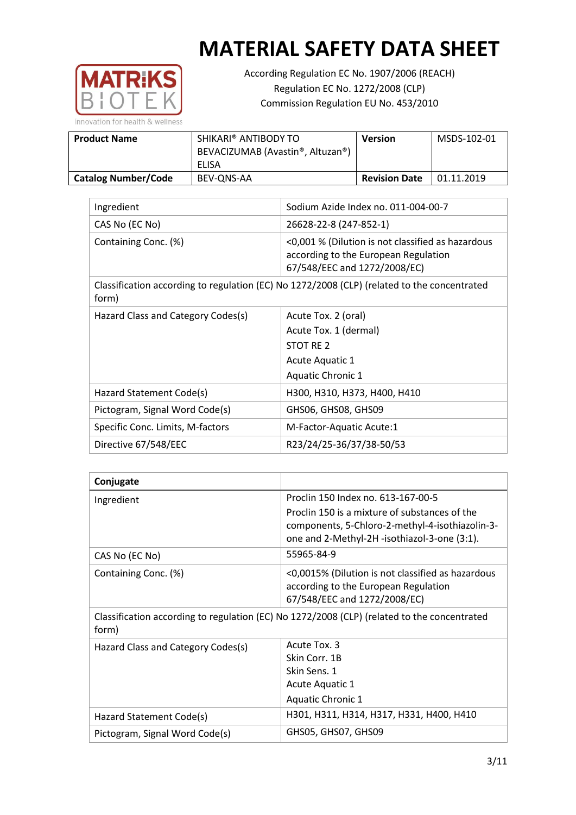

According Regulation EC No. 1907/2006 (REACH) Regulation EC No. 1272/2008 (CLP) Commission Regulation EU No. 453/2010

| <b>Product Name</b>        | SHIKARI® ANTIBODY TO<br>BEVACIZUMAB (Avastin®, Altuzan®)<br>ELISA | <b>Version</b>       | MSDS-102-01 |
|----------------------------|-------------------------------------------------------------------|----------------------|-------------|
|                            |                                                                   |                      |             |
| <b>Catalog Number/Code</b> | BEV-ONS-AA                                                        | <b>Revision Date</b> | 01.11.2019  |

| Ingredient                         | Sodium Azide Index no. 011-004-00-7                                                                                       |
|------------------------------------|---------------------------------------------------------------------------------------------------------------------------|
| CAS No (EC No)                     | 26628-22-8 (247-852-1)                                                                                                    |
| Containing Conc. (%)               | <0,001 % (Dilution is not classified as hazardous<br>according to the European Regulation<br>67/548/EEC and 1272/2008/EC) |
| form)                              | Classification according to regulation (EC) No 1272/2008 (CLP) (related to the concentrated                               |
| Hazard Class and Category Codes(s) | Acute Tox. 2 (oral)                                                                                                       |
|                                    | Acute Tox. 1 (dermal)                                                                                                     |
|                                    | STOT RE 2                                                                                                                 |
|                                    | Acute Aquatic 1                                                                                                           |
|                                    | <b>Aquatic Chronic 1</b>                                                                                                  |
| Hazard Statement Code(s)           | H300, H310, H373, H400, H410                                                                                              |
| Pictogram, Signal Word Code(s)     | GHS06, GHS08, GHS09                                                                                                       |
| Specific Conc. Limits, M-factors   | M-Factor-Aquatic Acute:1                                                                                                  |
| Directive 67/548/EEC               | R23/24/25-36/37/38-50/53                                                                                                  |

| Conjugate                                                                                            |                                                                                                                           |
|------------------------------------------------------------------------------------------------------|---------------------------------------------------------------------------------------------------------------------------|
| Ingredient                                                                                           | Proclin 150 Index no. 613-167-00-5                                                                                        |
|                                                                                                      | Proclin 150 is a mixture of substances of the<br>components, 5-Chloro-2-methyl-4-isothiazolin-3-                          |
|                                                                                                      | one and 2-Methyl-2H -isothiazol-3-one (3:1).                                                                              |
| CAS No (EC No)                                                                                       | 55965-84-9                                                                                                                |
| Containing Conc. (%)                                                                                 | <0,0015% (Dilution is not classified as hazardous<br>according to the European Regulation<br>67/548/EEC and 1272/2008/EC) |
| Classification according to regulation (EC) No 1272/2008 (CLP) (related to the concentrated<br>form) |                                                                                                                           |
| Hazard Class and Category Codes(s)                                                                   | Acute Tox. 3                                                                                                              |
|                                                                                                      | Skin Corr. 1B                                                                                                             |
|                                                                                                      | Skin Sens. 1                                                                                                              |
|                                                                                                      | Acute Aquatic 1                                                                                                           |
|                                                                                                      | <b>Aquatic Chronic 1</b>                                                                                                  |
| Hazard Statement Code(s)                                                                             | H301, H311, H314, H317, H331, H400, H410                                                                                  |
| Pictogram, Signal Word Code(s)                                                                       | GHS05, GHS07, GHS09                                                                                                       |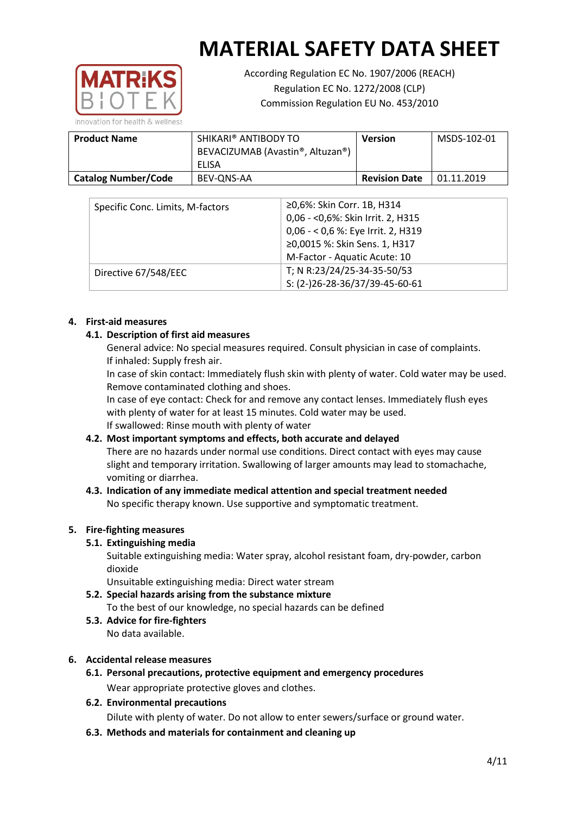

According Regulation EC No. 1907/2006 (REACH) Regulation EC No. 1272/2008 (CLP) Commission Regulation EU No. 453/2010

| <b>Product Name</b>        | SHIKARI® ANTIBODY TO<br>BEVACIZUMAB (Avastin®, Altuzan®)<br>ELISA | <b>Version</b>       | MSDS-102-01 |
|----------------------------|-------------------------------------------------------------------|----------------------|-------------|
| <b>Catalog Number/Code</b> | BEV-ONS-AA                                                        | <b>Revision Date</b> | 01.11.2019  |

| Specific Conc. Limits, M-factors | ≥0,6%: Skin Corr. 1B, H314         |
|----------------------------------|------------------------------------|
|                                  | 0,06 - < 0,6%: Skin Irrit. 2, H315 |
|                                  | 0,06 - < 0,6 %: Eye Irrit. 2, H319 |
|                                  | ≥0,0015 %: Skin Sens. 1, H317      |
|                                  | M-Factor - Aquatic Acute: 10       |
| Directive 67/548/EEC             | T; N R:23/24/25-34-35-50/53        |
|                                  | S: (2-)26-28-36/37/39-45-60-61     |

## **4. First-aid measures**

## **4.1. Description of first aid measures**

General advice: No special measures required. Consult physician in case of complaints. If inhaled: Supply fresh air.

In case of skin contact: Immediately flush skin with plenty of water. Cold water may be used. Remove contaminated clothing and shoes.

In case of eye contact: Check for and remove any contact lenses. Immediately flush eyes with plenty of water for at least 15 minutes. Cold water may be used. If swallowed: Rinse mouth with plenty of water

## **4.2. Most important symptoms and effects, both accurate and delayed**

There are no hazards under normal use conditions. Direct contact with eyes may cause slight and temporary irritation. Swallowing of larger amounts may lead to stomachache, vomiting or diarrhea.

## **4.3. Indication of any immediate medical attention and special treatment needed** No specific therapy known. Use supportive and symptomatic treatment.

## **5. Fire-fighting measures**

## **5.1. Extinguishing media**

Suitable extinguishing media: Water spray, alcohol resistant foam, dry-powder, carbon dioxide

Unsuitable extinguishing media: Direct water stream

- **5.2. Special hazards arising from the substance mixture** To the best of our knowledge, no special hazards can be defined
- **5.3. Advice for fire-fighters** No data available.

## **6. Accidental release measures**

**6.1. Personal precautions, protective equipment and emergency procedures** Wear appropriate protective gloves and clothes.

## **6.2. Environmental precautions**

Dilute with plenty of water. Do not allow to enter sewers/surface or ground water.

**6.3. Methods and materials for containment and cleaning up**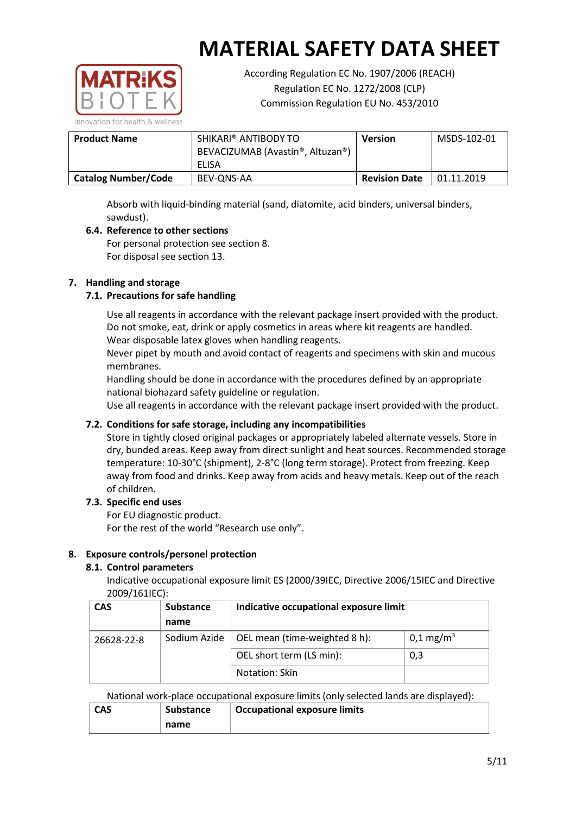

According Regulation EC No. 1907/2006 (REACH) Regulation EC No. 1272/2008 (CLP) Commission Regulation EU No. 453/2010

| <b>Product Name</b>        | SHIKARI® ANTIBODY TO<br>BEVACIZUMAB (Avastin®, Altuzan®)<br>ELISA | <b>Version</b>       | MSDS-102-01 |
|----------------------------|-------------------------------------------------------------------|----------------------|-------------|
| <b>Catalog Number/Code</b> | BEV-ONS-AA                                                        | <b>Revision Date</b> | 01.11.2019  |

Absorb with liquid-binding material (sand, diatomite, acid binders, universal binders, sawdust).

# **6.4. Reference to other sections**

For personal protection see section 8. For disposal see section 13.

## **7. Handling and storage**

## **7.1. Precautions for safe handling**

Use all reagents in accordance with the relevant package insert provided with the product. Do not smoke, eat, drink or apply cosmetics in areas where kit reagents are handled. Wear disposable latex gloves when handling reagents.

Never pipet by mouth and avoid contact of reagents and specimens with skin and mucous membranes.

Handling should be done in accordance with the procedures defined by an appropriate national biohazard safety guideline or regulation.

Use all reagents in accordance with the relevant package insert provided with the product.

## **7.2. Conditions for safe storage, including any incompatibilities**

Store in tightly closed original packages or appropriately labeled alternate vessels. Store in dry, bunded areas. Keep away from direct sunlight and heat sources. Recommended storage temperature: 10-30°C (shipment), 2-8°C (long term storage). Protect from freezing. Keep away from food and drinks. Keep away from acids and heavy metals. Keep out of the reach of children.

### **7.3. Specific end uses**

For EU diagnostic product.

For the rest of the world "Research use only".

## **8. Exposure controls/personel protection**

### **8.1. Control parameters**

Indicative occupational exposure limit ES (2000/39IEC, Directive 2006/15IEC and Directive 2009/161IEC):

| <b>CAS</b> | <b>Substance</b> | Indicative occupational exposure limit |                         |
|------------|------------------|----------------------------------------|-------------------------|
|            | name             |                                        |                         |
| 26628-22-8 | Sodium Azide     | OEL mean (time-weighted 8 h):          | $0,1 \,\mathrm{mg/m^3}$ |
|            |                  | OEL short term (LS min):               | 0,3                     |
|            |                  | Notation: Skin                         |                         |

National work-place occupational exposure limits (only selected lands are displayed):

| <b>CAS</b> | <b>Substance</b> | <b>Occupational exposure limits</b> |  |  |
|------------|------------------|-------------------------------------|--|--|
|            | name             |                                     |  |  |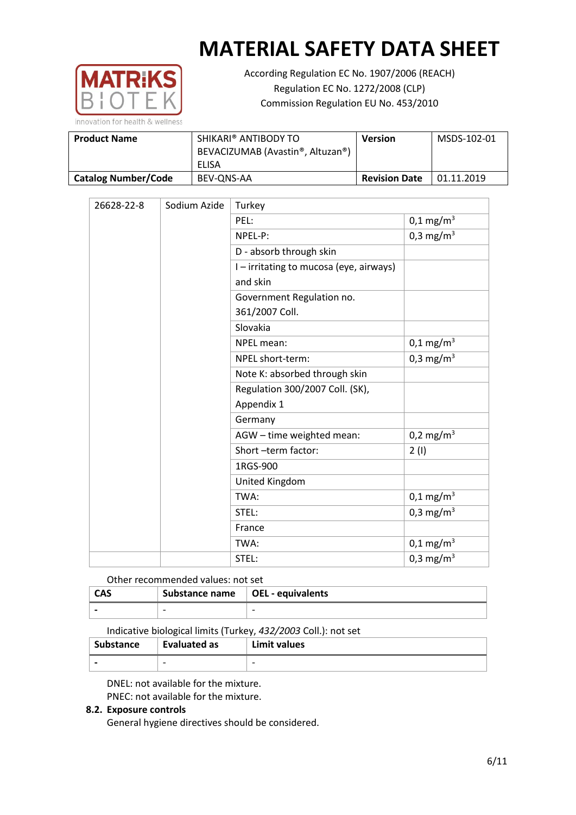

According Regulation EC No. 1907/2006 (REACH) Regulation EC No. 1272/2008 (CLP) Commission Regulation EU No. 453/2010

| SHIKARI® ANTIBODY TO<br><b>Product Name</b><br>BEVACIZUMAB (Avastin®, Altuzan®) |            | <b>Version</b>       | MSDS-102-01 |
|---------------------------------------------------------------------------------|------------|----------------------|-------------|
|                                                                                 | ELISA      |                      |             |
| <b>Catalog Number/Code</b>                                                      | BEV-ONS-AA | <b>Revision Date</b> | 01.11.2019  |

| Sodium Azide<br>26628-22-8 |                         | Turkey                                |                         |  |
|----------------------------|-------------------------|---------------------------------------|-------------------------|--|
|                            |                         | PEL:                                  | $0,1 \,\mathrm{mg/m^3}$ |  |
|                            |                         | NPEL-P:                               | 0,3 mg/m <sup>3</sup>   |  |
|                            | D - absorb through skin |                                       |                         |  |
|                            |                         | I-irritating to mucosa (eye, airways) |                         |  |
|                            |                         | and skin                              |                         |  |
|                            |                         | Government Regulation no.             |                         |  |
|                            |                         | 361/2007 Coll.                        |                         |  |
|                            |                         | Slovakia                              |                         |  |
|                            |                         | NPEL mean:                            | $0,1 \,\mathrm{mg/m^3}$ |  |
|                            |                         | NPEL short-term:                      | 0,3 mg/m <sup>3</sup>   |  |
|                            |                         | Note K: absorbed through skin         |                         |  |
|                            |                         | Regulation 300/2007 Coll. (SK),       |                         |  |
|                            |                         | Appendix 1                            |                         |  |
|                            |                         | Germany                               |                         |  |
|                            |                         | AGW - time weighted mean:             | $0,2 \text{ mg/m}^3$    |  |
|                            |                         | Short -term factor:                   | 2(1)                    |  |
|                            |                         | 1RGS-900                              |                         |  |
|                            |                         | United Kingdom                        |                         |  |
|                            |                         | TWA:                                  | $0,1 \,\mathrm{mg/m^3}$ |  |
|                            |                         | STEL:                                 | 0,3 mg/m <sup>3</sup>   |  |
|                            |                         | France                                |                         |  |
|                            |                         | TWA:                                  | $0,1 \text{ mg/m}^3$    |  |
|                            |                         | STEL:                                 | 0,3 mg/m <sup>3</sup>   |  |

### Other recommended values: not set

| <b>CAS</b> | Substance name $\vert$ OEL - equivalents |                          |
|------------|------------------------------------------|--------------------------|
|            | $\overline{\phantom{0}}$                 | $\overline{\phantom{0}}$ |

Indicative biological limits (Turkey, *432/2003* Coll.): not set

| <b>Substance</b>         | Evaluated as             | Limit values |
|--------------------------|--------------------------|--------------|
| $\overline{\phantom{0}}$ | $\overline{\phantom{0}}$ | -            |

DNEL: not available for the mixture. PNEC: not available for the mixture.

### **8.2. Exposure controls**

General hygiene directives should be considered.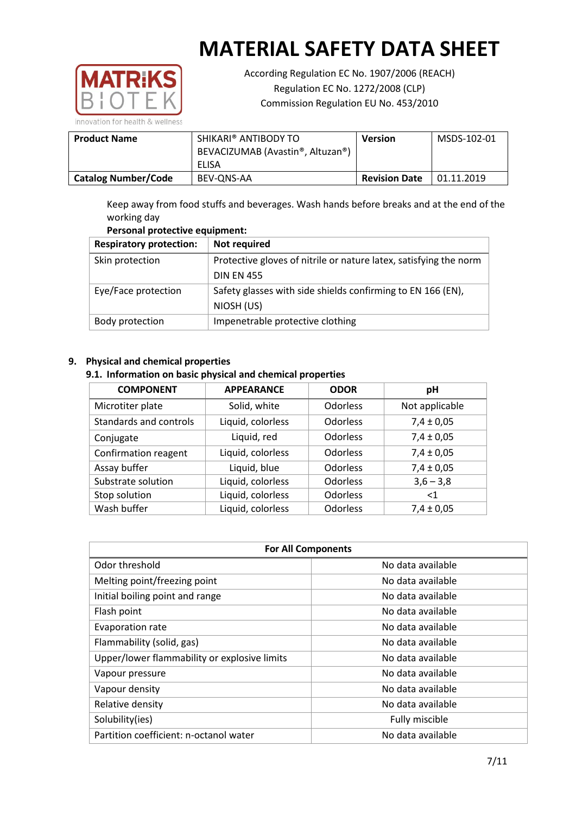

According Regulation EC No. 1907/2006 (REACH) Regulation EC No. 1272/2008 (CLP) Commission Regulation EU No. 453/2010

| <b>Product Name</b>        | SHIKARI® ANTIBODY TO<br>BEVACIZUMAB (Avastin®, Altuzan®)<br>ELISA | Version              | MSDS-102-01 |
|----------------------------|-------------------------------------------------------------------|----------------------|-------------|
| <b>Catalog Number/Code</b> | BEV-ONS-AA                                                        | <b>Revision Date</b> | 01.11.2019  |

Keep away from food stuffs and beverages. Wash hands before breaks and at the end of the working day

# **Personal protective equipment:**

| <b>Respiratory protection:</b> | Not required                                                      |  |  |
|--------------------------------|-------------------------------------------------------------------|--|--|
| Skin protection                | Protective gloves of nitrile or nature latex, satisfying the norm |  |  |
|                                | <b>DIN EN 455</b>                                                 |  |  |
| Eye/Face protection            | Safety glasses with side shields confirming to EN 166 (EN),       |  |  |
|                                | NIOSH (US)                                                        |  |  |
| Body protection                | Impenetrable protective clothing                                  |  |  |

# **9. Physical and chemical properties**

## **9.1. Information on basic physical and chemical properties**

| <b>COMPONENT</b>       | <b>APPEARANCE</b> | <b>ODOR</b>     | рH             |
|------------------------|-------------------|-----------------|----------------|
| Microtiter plate       | Solid, white      | <b>Odorless</b> | Not applicable |
| Standards and controls | Liquid, colorless | <b>Odorless</b> | $7,4 \pm 0,05$ |
| Conjugate              | Liquid, red       | <b>Odorless</b> | $7,4 \pm 0,05$ |
| Confirmation reagent   | Liquid, colorless | <b>Odorless</b> | $7,4 \pm 0,05$ |
| Assay buffer           | Liquid, blue      | <b>Odorless</b> | $7,4 \pm 0,05$ |
| Substrate solution     | Liquid, colorless | <b>Odorless</b> | $3,6 - 3,8$    |
| Stop solution          | Liquid, colorless | <b>Odorless</b> | $<$ 1          |
| Wash buffer            | Liquid, colorless | Odorless        | $7,4 \pm 0,05$ |

| <b>For All Components</b>                    |                   |  |  |
|----------------------------------------------|-------------------|--|--|
| Odor threshold                               | No data available |  |  |
| Melting point/freezing point                 | No data available |  |  |
| Initial boiling point and range              | No data available |  |  |
| Flash point                                  | No data available |  |  |
| Evaporation rate                             | No data available |  |  |
| Flammability (solid, gas)                    | No data available |  |  |
| Upper/lower flammability or explosive limits | No data available |  |  |
| Vapour pressure                              | No data available |  |  |
| Vapour density                               | No data available |  |  |
| Relative density                             | No data available |  |  |
| Solubility(ies)                              | Fully miscible    |  |  |
| Partition coefficient: n-octanol water       | No data available |  |  |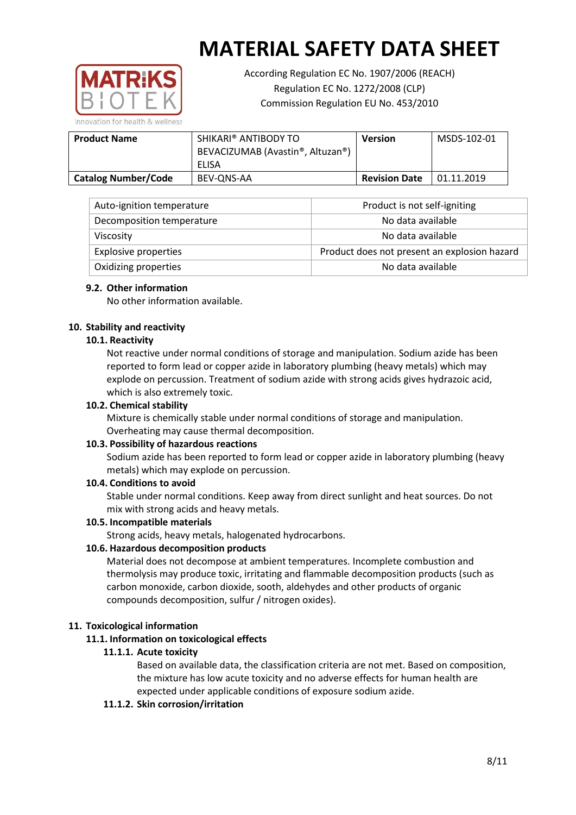

According Regulation EC No. 1907/2006 (REACH) Regulation EC No. 1272/2008 (CLP) Commission Regulation EU No. 453/2010

**Product Name SHIKARI® ANTIBODY TO** BEVACIZUMAB (Avastin®, Altuzan®) ELISA **Version** MSDS-102-01 **Catalog Number/Code** BEV-QNS-AA **Revision Date** 01.11.2019

| Auto-ignition temperature   | Product is not self-igniting                 |
|-----------------------------|----------------------------------------------|
| Decomposition temperature   | No data available                            |
| <b>Viscosity</b>            | No data available                            |
| <b>Explosive properties</b> | Product does not present an explosion hazard |
| Oxidizing properties        | No data available                            |

## **9.2. Other information**

No other information available.

## **10. Stability and reactivity**

## **10.1. Reactivity**

Not reactive under normal conditions of storage and manipulation. Sodium azide has been reported to form lead or copper azide in laboratory plumbing (heavy metals) which may explode on percussion. Treatment of sodium azide with strong acids gives hydrazoic acid, which is also extremely toxic.

### **10.2. Chemical stability**

Mixture is chemically stable under normal conditions of storage and manipulation. Overheating may cause thermal decomposition.

### **10.3. Possibility of hazardous reactions**

Sodium azide has been reported to form lead or copper azide in laboratory plumbing (heavy metals) which may explode on percussion.

### **10.4. Conditions to avoid**

Stable under normal conditions. Keep away from direct sunlight and heat sources. Do not mix with strong acids and heavy metals.

### **10.5. Incompatible materials**

Strong acids, heavy metals, halogenated hydrocarbons.

## **10.6. Hazardous decomposition products**

Material does not decompose at ambient temperatures. Incomplete combustion and thermolysis may produce toxic, irritating and flammable decomposition products (such as carbon monoxide, carbon dioxide, sooth, aldehydes and other products of organic compounds decomposition, sulfur / nitrogen oxides).

### **11. Toxicological information**

### **11.1. Information on toxicological effects**

### **11.1.1. Acute toxicity**

Based on available data, the classification criteria are not met. Based on composition, the mixture has low acute toxicity and no adverse effects for human health are expected under applicable conditions of exposure sodium azide.

### **11.1.2. Skin corrosion/irritation**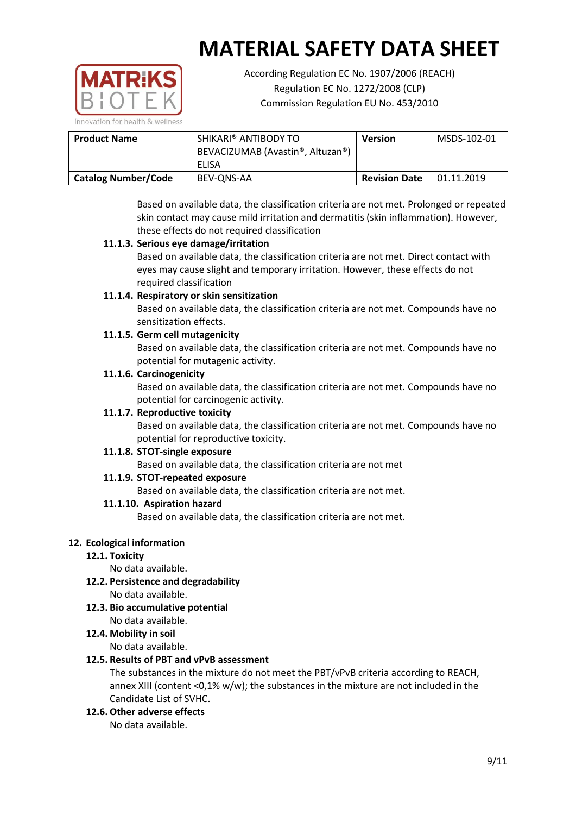

According Regulation EC No. 1907/2006 (REACH) Regulation EC No. 1272/2008 (CLP) Commission Regulation EU No. 453/2010

| <b>Product Name</b>        | SHIKARI® ANTIBODY TO<br>BEVACIZUMAB (Avastin®, Altuzan®)<br>ELISA | Version              | MSDS-102-01 |
|----------------------------|-------------------------------------------------------------------|----------------------|-------------|
| <b>Catalog Number/Code</b> | BEV-ONS-AA                                                        | <b>Revision Date</b> | 01.11.2019  |

Based on available data, the classification criteria are not met. Prolonged or repeated skin contact may cause mild irritation and dermatitis (skin inflammation). However, these effects do not required classification

# **11.1.3. Serious eye damage/irritation**

Based on available data, the classification criteria are not met. Direct contact with eyes may cause slight and temporary irritation. However, these effects do not required classification

## **11.1.4. Respiratory or skin sensitization**

Based on available data, the classification criteria are not met. Compounds have no sensitization effects.

# **11.1.5. Germ cell mutagenicity**

Based on available data, the classification criteria are not met. Compounds have no potential for mutagenic activity.

## **11.1.6. Carcinogenicity**

Based on available data, the classification criteria are not met. Compounds have no potential for carcinogenic activity.

## **11.1.7. Reproductive toxicity**

Based on available data, the classification criteria are not met. Compounds have no potential for reproductive toxicity.

## **11.1.8. STOT-single exposure**

Based on available data, the classification criteria are not met

## **11.1.9. STOT-repeated exposure**

Based on available data, the classification criteria are not met.

### **11.1.10. Aspiration hazard**

Based on available data, the classification criteria are not met.

## **12. Ecological information**

## **12.1. Toxicity**

No data available.

- **12.2. Persistence and degradability** No data available.
- **12.3. Bio accumulative potential** No data available.
- **12.4. Mobility in soil**

No data available.

### **12.5. Results of PBT and vPvB assessment**

The substances in the mixture do not meet the PBT/vPvB criteria according to REACH, annex XIII (content <0,1% w/w); the substances in the mixture are not included in the Candidate List of SVHC.

**12.6. Other adverse effects**

No data available.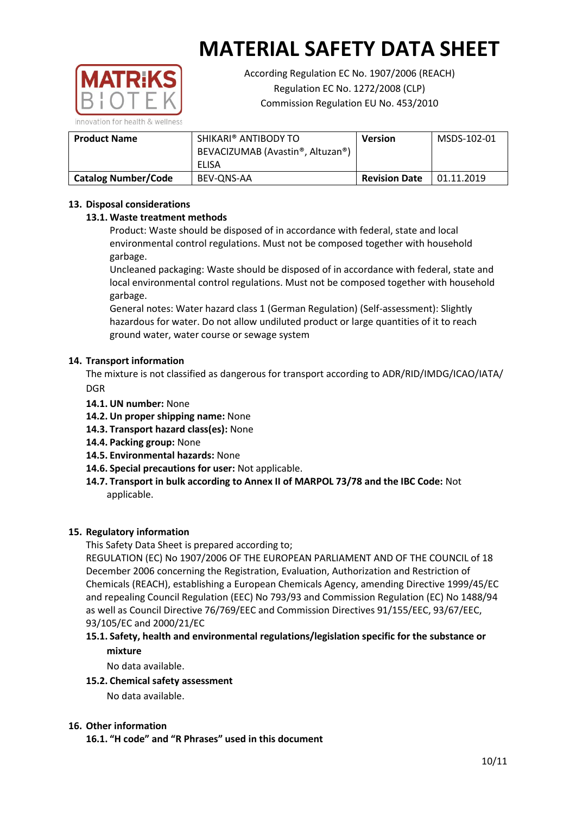

According Regulation EC No. 1907/2006 (REACH) Regulation EC No. 1272/2008 (CLP) Commission Regulation EU No. 453/2010

| <b>Product Name</b>        | SHIKARI® ANTIBODY TO<br>BEVACIZUMAB (Avastin®, Altuzan®)<br>ELISA | <b>Version</b>       | MSDS-102-01 |
|----------------------------|-------------------------------------------------------------------|----------------------|-------------|
| <b>Catalog Number/Code</b> | BEV-ONS-AA                                                        | <b>Revision Date</b> | 01.11.2019  |

## **13. Disposal considerations**

## **13.1. Waste treatment methods**

Product: Waste should be disposed of in accordance with federal, state and local environmental control regulations. Must not be composed together with household garbage.

Uncleaned packaging: Waste should be disposed of in accordance with federal, state and local environmental control regulations. Must not be composed together with household garbage.

General notes: Water hazard class 1 (German Regulation) (Self-assessment): Slightly hazardous for water. Do not allow undiluted product or large quantities of it to reach ground water, water course or sewage system

## **14. Transport information**

The mixture is not classified as dangerous for transport according to ADR/RID/IMDG/ICAO/IATA/ **DGR** 

- **14.1. UN number:** None
- **14.2. Un proper shipping name:** None
- **14.3. Transport hazard class(es):** None
- **14.4. Packing group:** None
- **14.5. Environmental hazards:** None
- **14.6. Special precautions for user:** Not applicable.
- **14.7. Transport in bulk according to Annex II of MARPOL 73/78 and the IBC Code:** Not applicable.

## **15. Regulatory information**

This Safety Data Sheet is prepared according to;

REGULATION (EC) No 1907/2006 OF THE EUROPEAN PARLIAMENT AND OF THE COUNCIL of 18 December 2006 concerning the Registration, Evaluation, Authorization and Restriction of Chemicals (REACH), establishing a European Chemicals Agency, amending Directive 1999/45/EC and repealing Council Regulation (EEC) No 793/93 and Commission Regulation (EC) No 1488/94 as well as Council Directive 76/769/EEC and Commission Directives 91/155/EEC, 93/67/EEC, 93/105/EC and 2000/21/EC

## **15.1. Safety, health and environmental regulations/legislation specific for the substance or mixture**

No data available.

### **15.2. Chemical safety assessment**

No data available.

### **16. Other information**

**16.1. "H code" and "R Phrases" used in this document**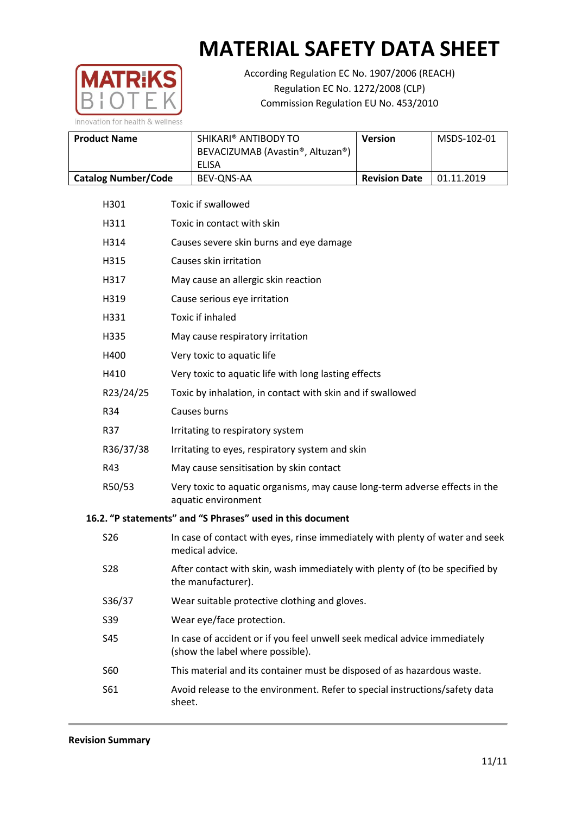

According Regulation EC No. 1907/2006 (REACH) Regulation EC No. 1272/2008 (CLP) Commission Regulation EU No. 453/2010

| <b>Product Name</b>        | SHIKARI® ANTIBODY TO<br>BEVACIZUMAB (Avastin®, Altuzan®) | <b>Version</b>       | MSDS-102-01 |
|----------------------------|----------------------------------------------------------|----------------------|-------------|
|                            | ELISA                                                    |                      |             |
| <b>Catalog Number/Code</b> | BEV-ONS-AA                                               | <b>Revision Date</b> | 01.11.2019  |

| H301            | <b>Toxic if swallowed</b>                                                                          |
|-----------------|----------------------------------------------------------------------------------------------------|
| H311            | Toxic in contact with skin                                                                         |
| H314            | Causes severe skin burns and eye damage                                                            |
| H315            | Causes skin irritation                                                                             |
| H317            | May cause an allergic skin reaction                                                                |
| H319            | Cause serious eye irritation                                                                       |
| H331            | Toxic if inhaled                                                                                   |
| H335            | May cause respiratory irritation                                                                   |
| H400            | Very toxic to aquatic life                                                                         |
| H410            | Very toxic to aquatic life with long lasting effects                                               |
| R23/24/25       | Toxic by inhalation, in contact with skin and if swallowed                                         |
| R34             | Causes burns                                                                                       |
| R37             | Irritating to respiratory system                                                                   |
| R36/37/38       | Irritating to eyes, respiratory system and skin                                                    |
| R43             | May cause sensitisation by skin contact                                                            |
| R50/53          | Very toxic to aquatic organisms, may cause long-term adverse effects in the<br>aquatic environment |
|                 | 16.2. "P statements" and "S Phrases" used in this document                                         |
| S <sub>26</sub> | In case of contact with eyes, rinse immediately with plenty of water and seek                      |

| S <sub>26</sub> | In case of contact with eyes, rinse immediately with plenty of water and seek<br>medical advice.              |
|-----------------|---------------------------------------------------------------------------------------------------------------|
| S <sub>28</sub> | After contact with skin, wash immediately with plenty of (to be specified by<br>the manufacturer).            |
| S36/37          | Wear suitable protective clothing and gloves.                                                                 |
| S39             | Wear eye/face protection.                                                                                     |
| S45             | In case of accident or if you feel unwell seek medical advice immediately<br>(show the label where possible). |
| S60             | This material and its container must be disposed of as hazardous waste.                                       |
| S61             | Avoid release to the environment. Refer to special instructions/safety data<br>sheet.                         |